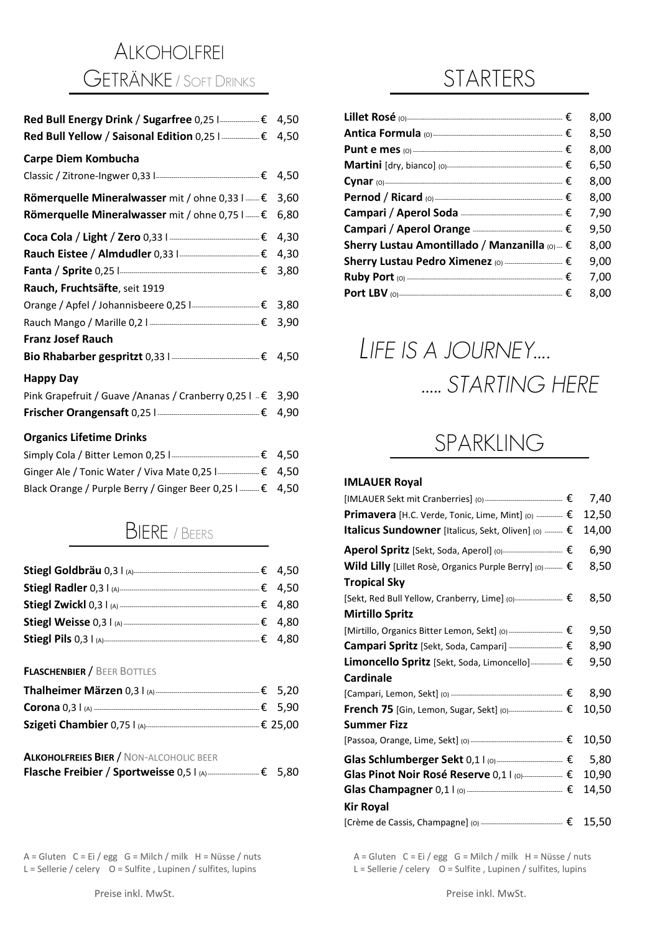# ALKOHOLFREI GETRÄNKE / <sup>S</sup>OFT DRINKS

| Red Bull Energy Drink / Sugarfree 0,25  ------------€ 4,50            |      |
|-----------------------------------------------------------------------|------|
| Red Bull Yellow / Saisonal Edition 0,25   $\text{---}$ 4,50           |      |
| Carpe Diem Kombucha                                                   |      |
| Classic / Zitrone-Ingwer 0,33  - 33   2000 1000 2000 € 4,50           |      |
| Römerquelle Mineralwasser mit / ohne 0,33 $1$ $\epsilon$ 3,60         |      |
| Römerquelle Mineralwasser mit / ohne 0,75 I ---- €                    | 6,80 |
| Coca Cola / Light / Zero 0,33   <del>                    €</del> 4,30 |      |
|                                                                       |      |
|                                                                       |      |
| Rauch, Fruchtsäfte, seit 1919                                         |      |
|                                                                       |      |
|                                                                       |      |
| <b>Franz Josef Rauch</b>                                              |      |
|                                                                       |      |
| <b>Happy Day</b>                                                      |      |
| Pink Grapefruit / Guave / Ananas / Cranberry 0,25 I - € 3,90          |      |
| Frischer Orangensaft 0,25   <u>  2000   2000</u> € 4,90               |      |
| <b>Organics Lifetime Drinks</b>                                       |      |
|                                                                       |      |
|                                                                       |      |

#### BIERE / <sup>B</sup>EERS

Black Orange / Purple Berry / Ginger Beer 0,25 l ------- € 4,50

|                              | $-E$ 4,50 |
|------------------------------|-----------|
|                              |           |
|                              | $-€$ 4,50 |
|                              | $-£$ 4,80 |
|                              | –€ 4.80   |
| <b>Stiegl Pils 0,3   (A)</b> | –€ 4,80   |

**FLASCHENBIER** / BEER BOTTLES

| <b>Thalheimer Märzen</b> 0,3 l (A)----------- | –€ 5.20  |
|-----------------------------------------------|----------|
| <b>Corona</b> $0.3 \mid$ (A) $\frac{1}{2}$    | –€ 5.90  |
| Szigeti Chambier 0,75 l (A)---                | -€ 25.00 |

#### **ALKOHOLFREIES BIER** / NON-ALCOHOLIC BEER **Flasche Freibier** / **Sportweisse** 0,5 l (A)--------------------------€ 5,80

| <b>Flasche Freibier / Sportweisse 0,5 L(A)</b> ----<br>——€ 5,80 |  |
|-----------------------------------------------------------------|--|
|                                                                 |  |

A = Gluten C = Ei / egg G = Milch / milk H = Nüsse / nuts A = Gluten C = Ei / egg G = Milch / milk H = Nüsse / nuts

|                                                          | 8,00 |
|----------------------------------------------------------|------|
|                                                          | 8,50 |
|                                                          | 8,00 |
|                                                          | 6,50 |
|                                                          | 8,00 |
|                                                          | 8,00 |
|                                                          | 7,90 |
| Campari / Aperol Orange <u>- 2000 - 2000</u> €           | 9,50 |
| Sherry Lustau Amontillado / Manzanilla (o) -- $\epsilon$ | 8,00 |
|                                                          | 9,00 |
| Ruby Port (0) $ \epsilon$                                | 7,00 |
|                                                          | 8.00 |

# *LIFE IS A JOURNEY…. ….. STARTING HERE*

# SPARKLING

#### **IMLAUER Royal**

|                                                                                                                                                                                                                                                                                           | 7,40  |
|-------------------------------------------------------------------------------------------------------------------------------------------------------------------------------------------------------------------------------------------------------------------------------------------|-------|
| <b>Primavera</b> [H.C. Verde, Tonic, Lime, Mint] (0) $\frac{1}{2}$                                                                                                                                                                                                                        | 12,50 |
| Italicus Sundowner [Italicus, Sekt, Oliven] (0) - €                                                                                                                                                                                                                                       | 14,00 |
| Aperol Spritz [Sekt, Soda, Aperol] (0)--------------------------- €                                                                                                                                                                                                                       | 6,90  |
| Wild Lilly [Lillet Rosè, Organics Purple Berry] (0) $\cdots$ $\in$                                                                                                                                                                                                                        | 8,50  |
| <b>Tropical Sky</b>                                                                                                                                                                                                                                                                       |       |
| [Sekt, Red Bull Yellow, Cranberry, Lime] (0)----------------------- €                                                                                                                                                                                                                     | 8,50  |
| <b>Mirtillo Spritz</b>                                                                                                                                                                                                                                                                    |       |
|                                                                                                                                                                                                                                                                                           | 9,50  |
|                                                                                                                                                                                                                                                                                           | 8,90  |
|                                                                                                                                                                                                                                                                                           | 9,50  |
| <b>Cardinale</b>                                                                                                                                                                                                                                                                          |       |
|                                                                                                                                                                                                                                                                                           | 8,90  |
| <b>French 75</b> [Gin, Lemon, Sugar, Sekt] (0)------------------------ €                                                                                                                                                                                                                  | 10,50 |
| <b>Summer Fizz</b>                                                                                                                                                                                                                                                                        |       |
|                                                                                                                                                                                                                                                                                           | 10,50 |
|                                                                                                                                                                                                                                                                                           | 5,80  |
|                                                                                                                                                                                                                                                                                           | 10,90 |
| Glas Champagner $0,1$   (0) $\frac{1}{2}$   $\frac{1}{2}$   $\frac{1}{2}$   $\frac{1}{2}$   $\frac{1}{2}$   $\frac{1}{2}$   $\frac{1}{2}$   $\frac{1}{2}$   $\frac{1}{2}$   $\frac{1}{2}$   $\frac{1}{2}$   $\frac{1}{2}$   $\frac{1}{2}$   $\frac{1}{2}$   $\frac{1}{2}$   $\frac{1}{2}$ | 14,50 |
| <b>Kir Royal</b>                                                                                                                                                                                                                                                                          |       |
|                                                                                                                                                                                                                                                                                           |       |

L = Sellerie / celery O = Sulfite , Lupinen / sulfites, lupins L = Sellerie / celery O = Sulfite , Lupinen / sulfites, lupins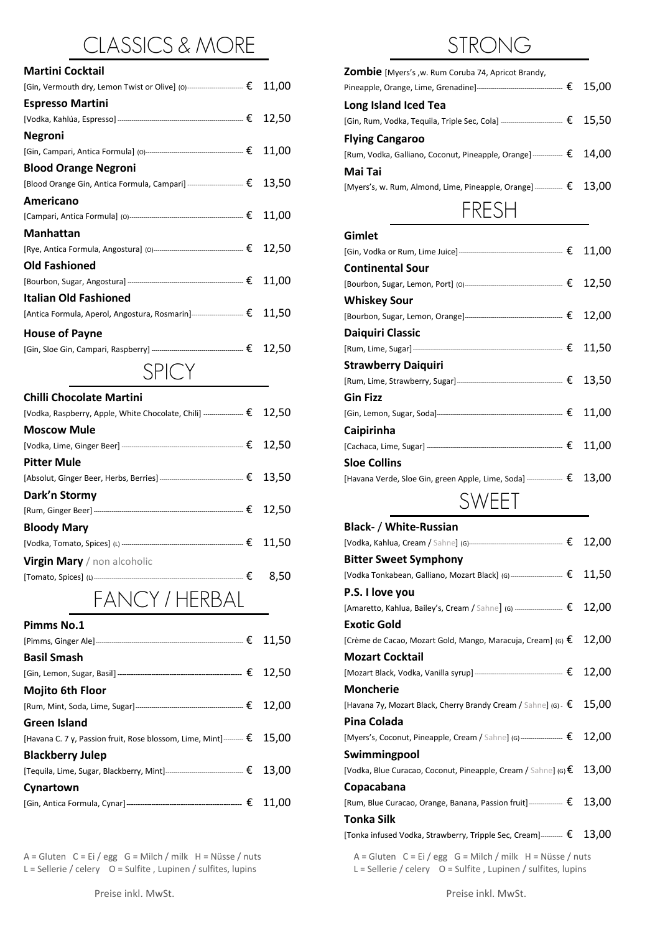# CLASSICS & MORE

| Martini Cocktail                                                                           |  |
|--------------------------------------------------------------------------------------------|--|
| [Gin, Vermouth dry, Lemon Twist or Olive] (0)---------------------------- $\epsilon$ 11,00 |  |
| <b>Espresso Martini</b>                                                                    |  |
|                                                                                            |  |
| Negroni                                                                                    |  |
|                                                                                            |  |
| <b>Blood Orange Negroni</b>                                                                |  |
| [Blood Orange Gin, Antica Formula, Campari] ---------------------------- $\epsilon$ 13,50  |  |
| Americano                                                                                  |  |
|                                                                                            |  |
| Manhattan                                                                                  |  |
|                                                                                            |  |
| Old Fashioned                                                                              |  |
|                                                                                            |  |
| Italian Old Fashioned                                                                      |  |
| [Antica Formula, Aperol, Angostura, Rosmarin]-------------------------- $\epsilon$ 11,50   |  |
| <b>House of Payne</b>                                                                      |  |
|                                                                                            |  |
| SPIC Y                                                                                     |  |

| <b>Chilli Chocolate Martini</b>            |  |
|--------------------------------------------|--|
|                                            |  |
| <b>Moscow Mule</b>                         |  |
|                                            |  |
| <b>Pitter Mule</b>                         |  |
|                                            |  |
| Dark'n Stormy                              |  |
|                                            |  |
| <b>Bloody Mary</b>                         |  |
|                                            |  |
| <b>Virgin Mary</b> / non alcoholic         |  |
|                                            |  |
| $L \wedge N$ $\cap V$ / $L$ $LDD \wedge L$ |  |

FANCY / HERBAL

| Pimms No.1                                                                         |  |
|------------------------------------------------------------------------------------|--|
|                                                                                    |  |
| <b>Basil Smash</b>                                                                 |  |
|                                                                                    |  |
| <b>Mojito 6th Floor</b>                                                            |  |
|                                                                                    |  |
| <b>Green Island</b>                                                                |  |
| [Havana C. 7 y, Passion fruit, Rose blossom, Lime, Mint]--------- $\epsilon$ 15,00 |  |
| <b>Blackberry Julep</b>                                                            |  |
|                                                                                    |  |
| Cynartown                                                                          |  |
|                                                                                    |  |
|                                                                                    |  |

 $L =$  Sellerie / celery  $O =$  Sulfite , Lupinen / sulfites, lupins

| <b>Zombie</b> [Myers's .w. Rum Coruba 74, Apricot Brandy,                                     |  |
|-----------------------------------------------------------------------------------------------|--|
|                                                                                               |  |
| Long Island Iced Tea                                                                          |  |
| [Gin, Rum, Vodka, Tequila, Triple Sec, Cola] ------------------------------- $\epsilon$ 15,50 |  |
| <b>Flying Cangaroo</b>                                                                        |  |
| [Rum, Vodka, Galliano, Coconut, Pineapple, Orange] $\epsilon$ 14,00                           |  |
| Mai Tai                                                                                       |  |
| [Myers's, w. Rum, Almond, Lime, Pineapple, Orange] $\frac{2}{5}$ 13,00                        |  |
| FRESH                                                                                         |  |

| Gimlet                                                                              |  |
|-------------------------------------------------------------------------------------|--|
|                                                                                     |  |
| <b>Continental Sour</b>                                                             |  |
|                                                                                     |  |
| <b>Whiskey Sour</b>                                                                 |  |
|                                                                                     |  |
| Daiquiri Classic                                                                    |  |
|                                                                                     |  |
| <b>Strawberry Daiquiri</b>                                                          |  |
|                                                                                     |  |
| <b>Gin Fizz</b>                                                                     |  |
|                                                                                     |  |
| <b>Caipirinha</b>                                                                   |  |
|                                                                                     |  |
| <b>Sloe Collins</b>                                                                 |  |
| [Havana Verde, Sloe Gin, green Apple, Lime, Soda] ---------------- $\epsilon$ 13,00 |  |
| VFFT                                                                                |  |

# **Black-** / **White-Russian**

|                                                                      | [Vodka Tonkabean, Galliano, Mozart Black] (G) $\cdots$ [ $\epsilon$ 11,50                 |
|----------------------------------------------------------------------|-------------------------------------------------------------------------------------------|
|                                                                      |                                                                                           |
|                                                                      | [Amaretto, Kahlua, Bailey's, Cream / Sahne] (G) ------------------------ $\epsilon$ 12,00 |
|                                                                      |                                                                                           |
| [Crème de Cacao, Mozart Gold, Mango, Maracuja, Cream] (G) $\epsilon$ | 12,00                                                                                     |
|                                                                      |                                                                                           |
|                                                                      |                                                                                           |
|                                                                      |                                                                                           |
|                                                                      | [Havana 7y, Mozart Black, Cherry Brandy Cream / Sahne] (G) $\epsilon$ 15,00               |
|                                                                      |                                                                                           |
|                                                                      | [Myers's, Coconut, Pineapple, Cream / Sahne] (G) -------------------- $\epsilon$ 12,00    |
|                                                                      |                                                                                           |
|                                                                      | [Vodka, Blue Curacao, Coconut, Pineapple, Cream / Sahne] (G) $\epsilon$ 13,00             |
|                                                                      |                                                                                           |
|                                                                      | [Rum, Blue Curacao, Orange, Banana, Passion fruit]  € 13,00                               |
|                                                                      |                                                                                           |
|                                                                      | [Tonka infused Vodka, Strawberry, Tripple Sec, Cream] $\equiv$ 13,00                      |
|                                                                      |                                                                                           |

A = Gluten C = Ei / egg G = Milch / milk H = Nüsse / nuts A = Gluten C = Ei / egg G = Milch / milk H = Nüsse / nuts L = Sellerie / celery O = Sulfites, lupins L = Sellerie / celery O = Sulfites, lupins L = Sellerie / celer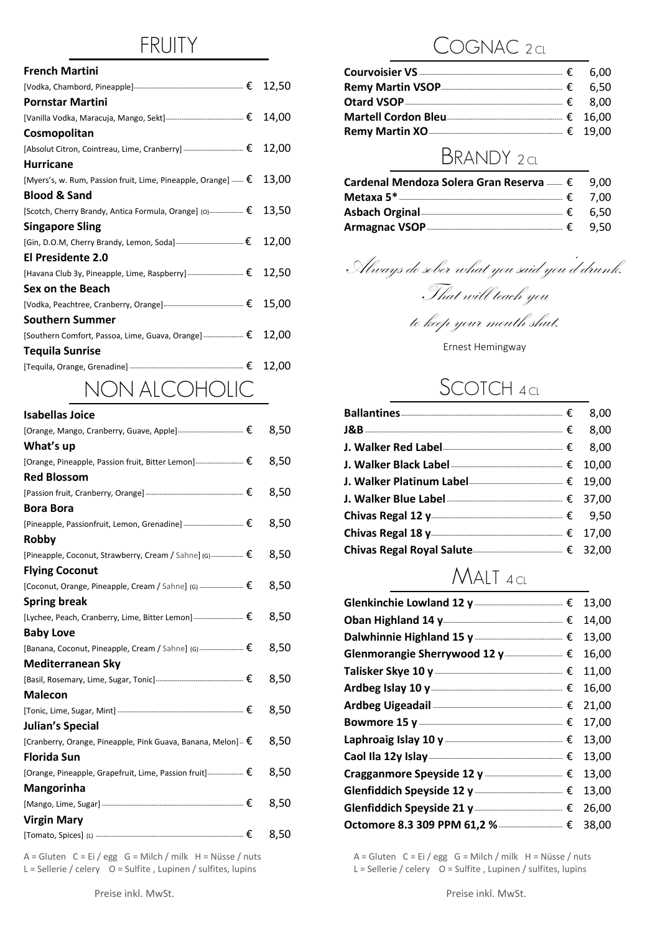### FRUITY

| <b>French Martini</b>                                                       |  |
|-----------------------------------------------------------------------------|--|
|                                                                             |  |
| <b>Pornstar Martini</b>                                                     |  |
|                                                                             |  |
| Cosmopolitan                                                                |  |
|                                                                             |  |
| <b>Hurricane</b>                                                            |  |
| [Myers's, w. Rum, Passion fruit, Lime, Pineapple, Orange] $ \epsilon$ 13,00 |  |
| <b>Blood &amp; Sand</b>                                                     |  |
| [Scotch, Cherry Brandy, Antica Formula, Orange] (0)--------------- € 13,50  |  |
| <b>Singapore Sling</b>                                                      |  |
|                                                                             |  |
| El Presidente 2.0                                                           |  |
| [Havana Club 3y, Pineapple, Lime, Raspberry] - [€ 12,50                     |  |
| Sex on the Beach                                                            |  |
|                                                                             |  |
| <b>Southern Summer</b>                                                      |  |
| [Southern Comfort, Passoa, Lime, Guava, Orange] ----------------- € 12,00   |  |
| <b>Tequila Sunrise</b>                                                      |  |
|                                                                             |  |
| NONI ALCOLIOUC                                                              |  |

#### NON ALCOHOLIC

| <b>Isabellas Joice</b>                                                                  |      |
|-----------------------------------------------------------------------------------------|------|
| [Orange, Mango, Cranberry, Guave, Apple]-------------------------------- €              | 8,50 |
| What's up                                                                               |      |
| [Orange, Pineapple, Passion fruit, Bitter Lemon]---------------------- €                | 8,50 |
| <b>Red Blossom</b>                                                                      |      |
|                                                                                         | 8,50 |
| <b>Bora Bora</b>                                                                        |      |
| [Pineapple, Passionfruit, Lemon, Grenadine] -------------------------------- $\epsilon$ | 8,50 |
| Robby                                                                                   |      |
| [Pineapple, Coconut, Strawberry, Cream / Sahne] (G) $ \longleftarrow$ $\epsilon$        | 8,50 |
| <b>Flying Coconut</b>                                                                   |      |
| [Coconut, Orange, Pineapple, Cream / Sahne] (G) --------------------- €                 | 8,50 |
| <b>Spring break</b>                                                                     |      |
| [Lychee, Peach, Cranberry, Lime, Bitter Lemon]----------------------- €                 | 8,50 |
| <b>Baby Love</b>                                                                        |      |
| [Banana, Coconut, Pineapple, Cream / Sahne] (G) $ \epsilon$ 8,50                        |      |
| Mediterranean Sky                                                                       |      |
|                                                                                         | 8,50 |
| <b>Malecon</b>                                                                          |      |
|                                                                                         | 8,50 |
| Julian's Special                                                                        |      |
| [Cranberry, Orange, Pineapple, Pink Guava, Banana, Melon]-- $\epsilon$                  | 8,50 |
| <b>Florida Sun</b>                                                                      |      |
| [Orange, Pineapple, Grapefruit, Lime, Passion fruit]---------------- $\epsilon$         | 8,50 |
| Mangorinha                                                                              |      |
|                                                                                         | 8,50 |
| <b>Virgin Mary</b>                                                                      |      |
|                                                                                         | 8,50 |
|                                                                                         |      |

L = Sellerie / celery O = Sulfite , Lupinen / sulfites, lupins L = Sellerie / celery O = Sulfite , Lupinen / sulfites, lupins

#### OGNAC 2 cL

### BRANDY 2 CL

| Cardenal Mendoza Solera Gran Reserva  € 9,00 |          |
|----------------------------------------------|----------|
|                                              |          |
| Asbach Orginal                               | – € 6.50 |
| Armagnac VSOP                                | – € 9.50 |

Always do sober what you said you'd drunk. That will teach you

to keep your mouth shut.

Ernest Hemingway

#### SCOTCH 4 CL

| <b>J. Walker Blue Label</b> <u>[</u> 27,000] <b>5.</b> Walker Blue Label <u>[37,000</u> ] <b>5.</b> 27,000                                                                                                                       |  |
|----------------------------------------------------------------------------------------------------------------------------------------------------------------------------------------------------------------------------------|--|
| Chivas Regal 12 y<br>2008 - 2010 - 2020 12:00 12:00 12:00 12:00 12:00 12:00 12:00 12:00 12:00 12:00 12:00 12:00 12:00 12:00 12:00 12:00 12:00 12:00 12:00 12:00 12:00 12:00 12:00 12:00 12:00 12:00 12:00 12:00 12:00 12:00 12:0 |  |
|                                                                                                                                                                                                                                  |  |
| Chivas Regal Royal Salute------------------------------- € 32,00                                                                                                                                                                 |  |

#### MALT 4 CL

| Glenkinchie Lowland 12 y $\frac{1}{2}$ y $\frac{1}{2}$ $\frac{13,00}{2}$ |  |
|--------------------------------------------------------------------------|--|
|                                                                          |  |
|                                                                          |  |
| Glenmorangie Sherrywood 12 y $f(16,00)$                                  |  |
| Talisker Skye 10 y — — — — — € 11,00                                     |  |
|                                                                          |  |
| Ardbeg Uigeadail <b>contract and the Contract Contract</b> € 21,00       |  |
|                                                                          |  |
| Laphroaig Islay 10 y $\frac{1}{2}$ = 13,00                               |  |
|                                                                          |  |
| Cragganmore Speyside 12 y $f(2)$ $f(3)$ $f(13)$                          |  |
|                                                                          |  |
| Glenfiddich Speyside 21 y __________________ € 26,00                     |  |
|                                                                          |  |

A = Gluten C = Ei / egg G = Milch / milk H = Nüsse / nuts A = Gluten C = Ei / egg G = Milch / milk H = Nüsse / nuts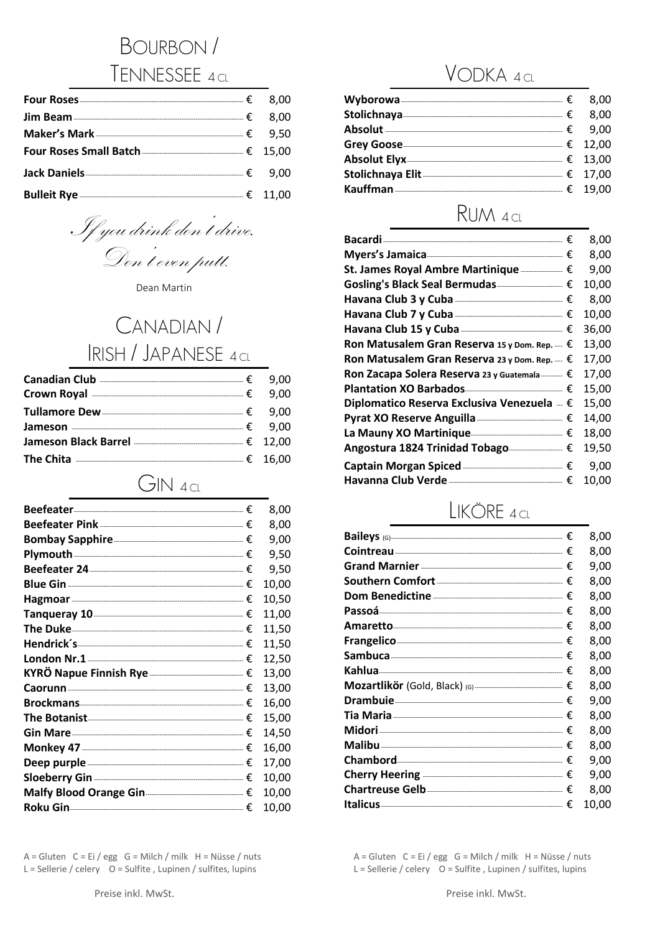# **BOURBON/** TENNESSEE 4 CL

| Bulleit Rye $\frac{1}{2}$ 11,00 |  |
|---------------------------------|--|

If you drink don't drive. Don't even putt.

Dean Martin

# CANADIAN/ RISH / JAPANESE 4 CL

| Canadian Club ——————————————————————€ 9,00 |  |
|--------------------------------------------|--|
| Crown Royal $\frac{1}{2}$ 9,00             |  |
|                                            |  |
|                                            |  |
|                                            |  |
| The Chita $\frac{16,00}{16,00}$            |  |

 $GIN$  4 cl

|                                                                                                                                                                                                                                    | 8,00  |
|------------------------------------------------------------------------------------------------------------------------------------------------------------------------------------------------------------------------------------|-------|
|                                                                                                                                                                                                                                    | 8,00  |
| Bombay Sapphire                                                                                                                                                                                                                    | 9,00  |
|                                                                                                                                                                                                                                    | 9,50  |
| Beefeater 24 <u>- 2000 - 2000 - 2010</u> E                                                                                                                                                                                         | 9,50  |
|                                                                                                                                                                                                                                    | 10,00 |
|                                                                                                                                                                                                                                    | 10,50 |
| Tanqueray 10                                                                                                                                                                                                                       | 11,00 |
|                                                                                                                                                                                                                                    | 11,50 |
|                                                                                                                                                                                                                                    | 11,50 |
| London Nr.1 $\overline{\phantom{a}1}$                                                                                                                                                                                              | 12,50 |
|                                                                                                                                                                                                                                    | 13,00 |
| $\mathsf{Caorum}\xspace$ $\mathsf{E}\xspace$                                                                                                                                                                                       | 13,00 |
|                                                                                                                                                                                                                                    | 16,00 |
| The Botanist <u>2008</u> The Botanist 2008 of the Botanist 2008 of the Botanist 2008 of the Botanist 2008 of the Botanist 2008 of the Botanist 2008 of the Botanist 2008 of the Botanist 2008 of the Botanist 2008 of the Botanist | 15,00 |
| Gin Mare $f(x) = 1$                                                                                                                                                                                                                | 14,50 |
|                                                                                                                                                                                                                                    | 16,00 |
| Deep purple $f(x)$                                                                                                                                                                                                                 | 17,00 |
|                                                                                                                                                                                                                                    | 10,00 |
| Malfy Blood Orange Gin- $\equiv$                                                                                                                                                                                                   | 10,00 |
|                                                                                                                                                                                                                                    | 10,00 |

A = Gluten C = Ei / egg G = Milch / milk H = Nüsse / nuts L = Sellerie / celery O = Sulfite, Lupinen / sulfites, lupins

| $Wyborowa$ 6.00                      |  |
|--------------------------------------|--|
|                                      |  |
| $\textsf{Absolute}$ $\xi$ 9,00       |  |
|                                      |  |
|                                      |  |
|                                      |  |
| $\kappa$ auffman $\frac{1}{2}$ 19,00 |  |
|                                      |  |

# RUM 4 CL

|                                                        | 8,00  |
|--------------------------------------------------------|-------|
|                                                        | 8,00  |
| St. James Royal Ambre Martinique ———— €                | 9,00  |
|                                                        | 10,00 |
|                                                        | 8,00  |
|                                                        | 10,00 |
| Havana Club 15 y Cuba - Common Common                  | 36,00 |
| Ron Matusalem Gran Reserva 15 y Dom. Rep. $= \epsilon$ | 13,00 |
| Ron Matusalem Gran Reserva 23 y Dom. Rep. $= \epsilon$ | 17,00 |
| Ron Zacapa Solera Reserva 23 y Guatemala  €            | 17,00 |
| Plantation XO Barbados <b>Manual Acception</b> €       | 15,00 |
| Diplomatico Reserva Exclusiva Venezuela $= \epsilon$   | 15,00 |
| Pyrat XO Reserve Anguilla ———————————— €               | 14,00 |
| La Mauny XO Martinique                                 | 18,00 |
| Angostura 1824 Trinidad Tobago <u>Canangon (</u> €     | 19,50 |
| Captain Morgan Spiced ————————————— €                  | 9.00  |
| Havanna Club Verde - 2000 1000 000000 €                | 10.00 |

### LIKÖRE 4 CL

|                                                              | € | 8,00  |
|--------------------------------------------------------------|---|-------|
|                                                              |   | 8,00  |
|                                                              |   | 9,00  |
| Southern Comfort ———————————————————— $\epsilon$             |   | 8,00  |
|                                                              |   | 8,00  |
| $Passoá$ $\epsilon$                                          |   | 8,00  |
|                                                              |   | 8,00  |
|                                                              |   | 8,00  |
|                                                              |   | 8,00  |
|                                                              |   | 8,00  |
| <b>Mozartlikör</b> (Gold, Black) (G) $\ldots$ $\vdots$ $\in$ |   | 8,00  |
|                                                              |   | 9,00  |
|                                                              |   | 8,00  |
|                                                              |   | 8,00  |
|                                                              |   | 8,00  |
|                                                              |   | 9,00  |
| Cherry Heering $\equiv$                                      |   | 9,00  |
|                                                              |   | 8,00  |
|                                                              |   | 10,00 |

A = Gluten C = Ei / egg G = Milch / milk H = Nüsse / nuts L = Sellerie / celery  $O =$  Sulfite, Lupinen / sulfites, lupins